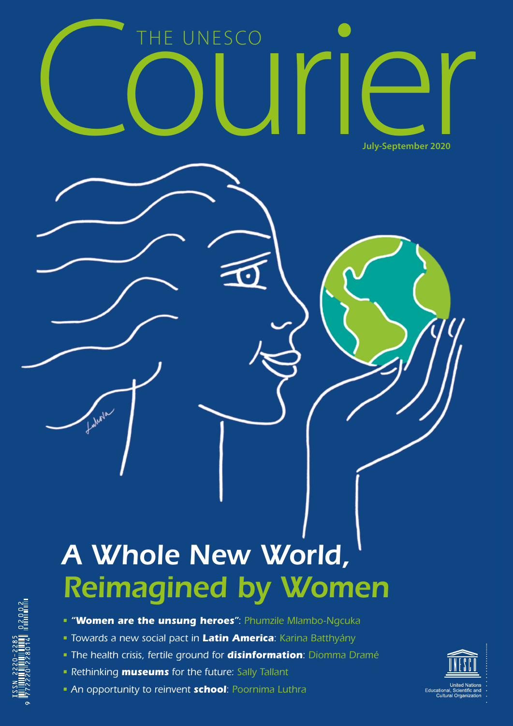

# *A Whole New World, Reimagined by Women*

- *"Women are the unsung heroes": Phumzile Mlambo-Ngcuka*
- *Towards a new social pact in Latin America: Karina Batthyány*
- *The health crisis, fertile ground for disinformation: Diomma Dramé*
- *Rethinking museums for the future: Sally Tallant*
- *An opportunity to reinvent school: Poornima Luthra*

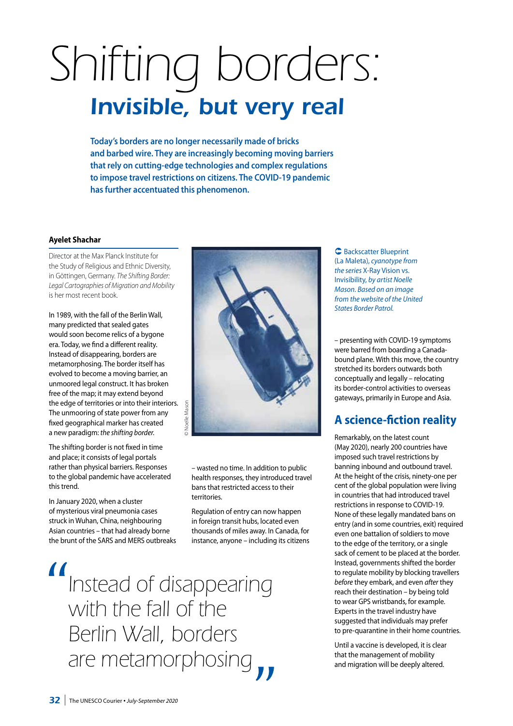# *Shifting borders: Invisible, but very real*

**Today's borders are no longer necessarily made of bricks and barbed wire. They are increasingly becoming moving barriers that rely on cutting-edge technologies and complex regulations to impose travel restrictions on citizens. The COVID-19 pandemic has further accentuated this phenomenon.** 

#### **Ayelet Shachar**

Director at the Max Planck Institute for the Study of Religious and Ethnic Diversity, in Göttingen, Germany. *The Shifting Border: Legal Cartographies of Migration and Mobility* is her most recent book.

In 1989, with the fall of the Berlin Wall, many predicted that sealed gates would soon become relics of a bygone era. Today, we find a different reality. Instead of disappearing, borders are metamorphosing. The border itself has evolved to become a moving barrier, an unmoored legal construct. It has broken free of the map; it may extend beyond the edge of territories or into their interiors. The unmooring of state power from any fixed geographical marker has created a new paradigm: *the shifting border.* 

The shifting border is not fixed in time and place; it consists of legal portals rather than physical barriers. Responses to the global pandemic have accelerated this trend.

In January 2020, when a cluster of mysterious viral pneumonia cases struck in Wuhan, China, neighbouring Asian countries – that had already borne the brunt of the SARS and MERS outbreaks



– wasted no time. In addition to public health responses, they introduced travel bans that restricted access to their territories.

Regulation of entry can now happen in foreign transit hubs, located even thousands of miles away. In Canada, for instance, anyone – including its citizens

*Instead of disappearing with the fall of the Berlin Wall, borders are metamorphosing*

**C** Backscatter Blueprint (La Maleta), *cyanotype from the series* X-Ray Vision vs. Invisibility, *by artist Noelle Mason. Based on an image from the website of the United States Border Patrol.* 

– presenting with COVID-19 symptoms were barred from boarding a Canadabound plane. With this move, the country stretched its borders outwards both conceptually and legally – relocating its border-control activities to overseas gateways, primarily in Europe and Asia.

## **A science-fiction reality**

Remarkably, on the latest count (May 2020), nearly 200 countries have imposed such travel restrictions by banning inbound and outbound travel. At the height of the crisis, ninety-one per cent of the global population were living in countries that had introduced travel restrictions in response to COVID-19. None of these legally mandated bans on entry (and in some countries, exit) required even one battalion of soldiers to move to the edge of the territory, or a single sack of cement to be placed at the border. Instead, governments shifted the border to regulate mobility by blocking travellers *before* they embark, and even *after* they reach their destination – by being told to wear GPS wristbands, for example. Experts in the travel industry have suggested that individuals may prefer to pre-quarantine in their home countries.

Until a vaccine is developed, it is clear that the management of mobility and migration will be deeply altered.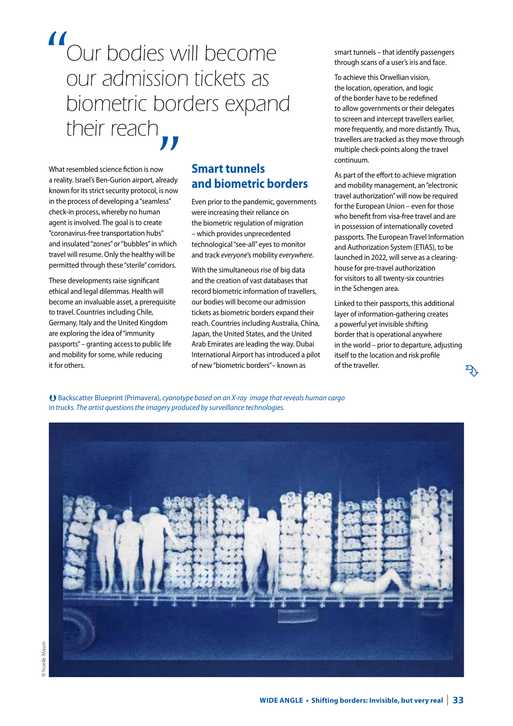*Our bodies will become our admission tickets as biometric borders expand their reach*

What resembled science fiction is now a reality. Israel's Ben-Gurion airport, already known for its strict security protocol, is now in the process of developing a "seamless" check-in process, whereby no human agent is involved. The goal is to create "coronavirus-free transportation hubs" and insulated "zones" or "bubbles" in which travel will resume. Only the healthy will be permitted through these "sterile" corridors.

These developments raise significant ethical and legal dilemmas. Health will become an invaluable asset, a prerequisite to travel. Countries including Chile, Germany, Italy and the United Kingdom are exploring the idea of "immunity passports" – granting access to public life and mobility for some, while reducing it for others.

## **Smart tunnels and biometric borders**

Even prior to the pandemic, governments were increasing their reliance on the biometric regulation of migration – which provides unprecedented technological "see-all" eyes to monitor and track *everyone*'s mobility *everywhere*.

With the simultaneous rise of big data and the creation of vast databases that record biometric information of travellers, our bodies will become our admission tickets as biometric borders expand their reach. Countries including Australia, China, Japan, the United States, and the United Arab Emirates are leading the way. Dubai International Airport has introduced a pilot of new "biometric borders"– known as

smart tunnels – that identify passengers through scans of a user's iris and face.

To achieve this Orwellian vision, the location, operation, and logic of the border have to be redefined to allow governments or their delegates to screen and intercept travellers earlier, more frequently, and more distantly. Thus, travellers are tracked as they move through multiple check-points along the travel continuum.

As part of the effort to achieve migration and mobility management, an "electronic travel authorization" will now be required for the European Union – even for those who benefit from visa-free travel and are in possession of internationally coveted passports. The European Travel Information and Authorization System (ETIAS), to be launched in 2022, will serve as a clearinghouse for pre-travel authorization for visitors to all twenty-six countries in the Schengen area.

Linked to their passports, this additional layer of information-gathering creates a powerful yet invisible shifting border that is operational anywhere in the world – prior to departure, adjusting itself to the location and risk profile of the traveller.

 $\mathcal{F}$ 

 Backscatter Blueprint (Primavera), *cyanotype based on an X-ray image that reveals human cargo in trucks. The artist questions the imagery produced by surveillance technologies.*